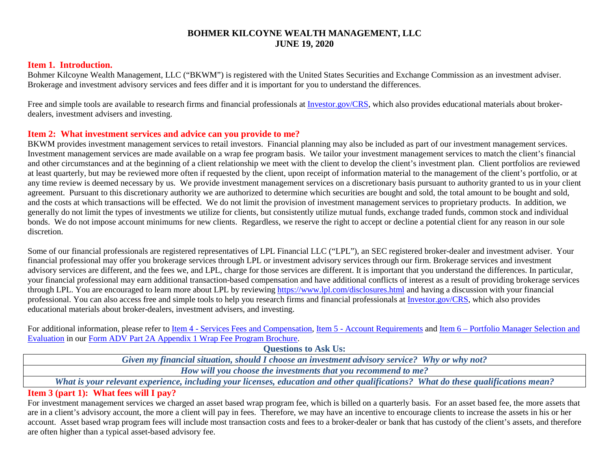### **BOHMER KILCOYNE WEALTH MANAGEMENT, LLC JUNE 19, 2020**

#### **Item 1. Introduction.**

Bohmer Kilcoyne Wealth Management, LLC ("BKWM") is registered with the United States Securities and Exchange Commission as an investment adviser. Brokerage and investment advisory services and fees differ and it is important for you to understand the differences.

Free and simple tools are available to research firms and financial professionals at [Investor.gov/CRS,](https://www.investor.gov/CRS) which also provides educational materials about brokerdealers, investment advisers and investing.

#### **Item 2: What investment services and advice can you provide to me?**

BKWM provides investment management services to retail investors. Financial planning may also be included as part of our investment management services. Investment management services are made available on a wrap fee program basis. We tailor your investment management services to match the client's financial and other circumstances and at the beginning of a client relationship we meet with the client to develop the client's investment plan. Client portfolios are reviewed at least quarterly, but may be reviewed more often if requested by the client, upon receipt of information material to the management of the client's portfolio, or at any time review is deemed necessary by us. We provide investment management services on a discretionary basis pursuant to authority granted to us in your client agreement. Pursuant to this discretionary authority we are authorized to determine which securities are bought and sold, the total amount to be bought and sold, and the costs at which transactions will be effected. We do not limit the provision of investment management services to proprietary products. In addition, we generally do not limit the types of investments we utilize for clients, but consistently utilize mutual funds, exchange traded funds, common stock and individual bonds. We do not impose account minimums for new clients. Regardless, we reserve the right to accept or decline a potential client for any reason in our sole discretion.

Some of our financial professionals are registered representatives of LPL Financial LLC ("LPL"), an SEC registered broker-dealer and investment adviser. Your financial professional may offer you brokerage services through LPL or investment advisory services through our firm. Brokerage services and investment advisory services are different, and the fees we, and LPL, charge for those services are different. It is important that you understand the differences. In particular, your financial professional may earn additional transaction-based compensation and have additional conflicts of interest as a result of providing brokerage services through LPL. You are encouraged to learn more about LPL by reviewin[g https://www.lpl.com/disclosures.html](https://www.lpl.com/disclosures.html) and having a discussion with your financial professional. You can also access free and simple tools to help you research firms and financial professionals at [Investor.gov/CRS,](https://www.investor.gov/CRS) which also provides educational materials about broker-dealers, investment advisers, and investing.

For additional information, please refer to [Item 4 - Services Fees and Compensation,](https://files.adviserinfo.sec.gov/IAPD/Content/Common/crd_iapd_Brochure.aspx?BRCHR_VRSN_ID=763274#page=4) [Item 5 - Account Requirements](https://files.adviserinfo.sec.gov/IAPD/Content/Common/crd_iapd_Brochure.aspx?BRCHR_VRSN_ID=763274#page=6) and Item 6 – Portfolio Manager Selection and [Evaluation](https://files.adviserinfo.sec.gov/IAPD/Content/Common/crd_iapd_Brochure.aspx?BRCHR_VRSN_ID=763274#page=6) in our [Form ADV Part 2A Appendix 1 Wrap Fee Program Brochure.](https://files.adviserinfo.sec.gov/IAPD/Content/Common/crd_iapd_Brochure.aspx?BRCHR_VRSN_ID=763274)

**Questions to Ask Us:** 

*Given my financial situation, should I choose an investment advisory service? Why or why not?*

*How will you choose the investments that you recommend to me?*

*What is your relevant experience, including your licenses, education and other qualifications? What do these qualifications mean?*

### **Item 3 (part 1): What fees will I pay?**

For investment management services we charged an asset based wrap program fee, which is billed on a quarterly basis. For an asset based fee, the more assets that are in a client's advisory account, the more a client will pay in fees. Therefore, we may have an incentive to encourage clients to increase the assets in his or her account. Asset based wrap program fees will include most transaction costs and fees to a broker-dealer or bank that has custody of the client's assets, and therefore are often higher than a typical asset-based advisory fee.